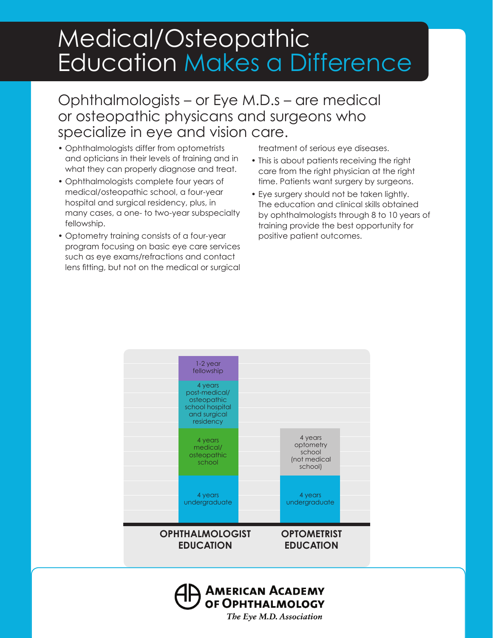## Medical/Osteopathic Education Makes a Difference

## Ophthalmologists – or Eye M.D.s – are medical or osteopathic physicans and surgeons who specialize in eye and vision care.

- • Ophthalmologists differ from optometrists and opticians in their levels of training and in what they can properly diagnose and treat.
- • Ophthalmologists complete four years of medical/osteopathic school, a four-year hospital and surgical residency, plus, in many cases, a one- to two-year subspecialty fellowship.
- • Optometry training consists of a four-year program focusing on basic eye care services such as eye exams/refractions and contact lens fitting, but not on the medical or surgical

treatment of serious eye diseases.

- This is about patients receiving the right care from the right physician at the right time. Patients want surgery by surgeons.
- Eye surgery should not be taken lightly. The education and clinical skills obtained by ophthalmologists through 8 to 10 years of training provide the best opportunity for positive patient outcomes.